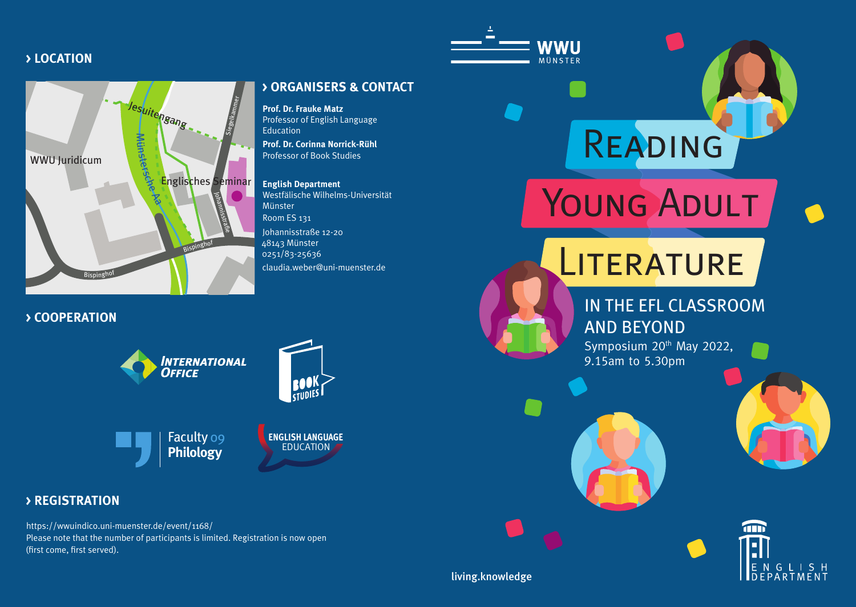### **> LOCATION**



**> COOPERATION**





Faculty 09 **Philology**

## **ENGLISH LANGUAGE** EDUCATION

### **> REGISTRATION**

https://wwuindico.uni-muenster.de/event/1168/ Please note that the number of participants is limited. Registration is now open (first come, first served).

**> ORGANISERS & CONTACT**

**Prof. Dr. Frauke Matz**  Professor of English Language Education

**Prof. Dr. Corinna Norrick-Rühl**  Professor of Book Studies

#### **English Department**

Westfälische Wilhelms-Universität Münster Room ES 131 Johannisstraße 12-20 48143 Münster 0251/83-25636 claudia.weber@uni-muenster.de



**WWU** MÜNSTER

# **LITERATURE**

Reading

YOUNG ADULT

## IN THE EFL CLASSROOM AND BEYOND

Symposium 20<sup>th</sup> May 2022, 9.15am to 5.30pm





living.knowledge